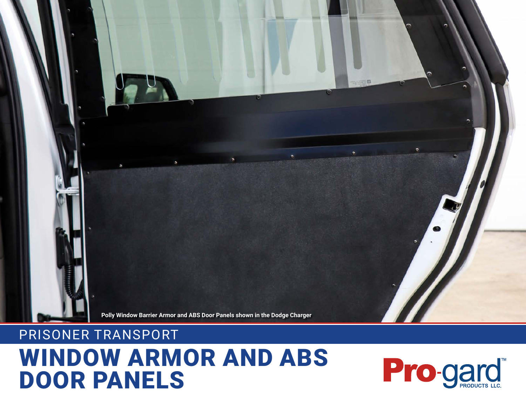

### PRISONER TRANSPORT

# WINDOW ARMOR AND ABS DOOR PANELS